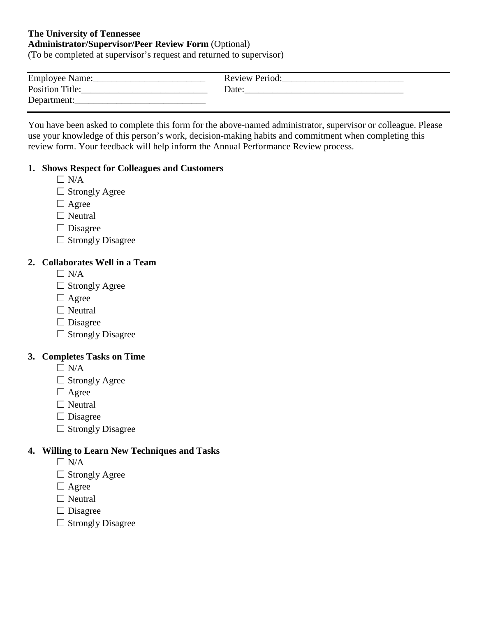#### **The University of Tennessee Administrator/Supervisor/Peer Review Form** (Optional)

(To be completed at supervisor's request and returned to supervisor)

| Employee Name:         | <b>Review Period:</b> |
|------------------------|-----------------------|
| <b>Position Title:</b> | Date:                 |
| Department:            |                       |

You have been asked to complete this form for the above-named administrator, supervisor or colleague. Please use your knowledge of this person's work, decision-making habits and commitment when completing this review form. Your feedback will help inform the Annual Performance Review process.

## **1. Shows Respect for Colleagues and Customers**

- $\Box$  N/A
- $\Box$  Strongly Agree
- □ Agree
- $\Box$  Neutral
- $\square$  Disagree
- $\Box$  Strongly Disagree

## **2. Collaborates Well in a Team**

- $\Box$  N/A
- $\Box$  Strongly Agree
- □ Agree
- □ Neutral
- □ Disagree
- $\Box$  Strongly Disagree

## **3. Completes Tasks on Time**

- $\Box$  N/A
- $\Box$  Strongly Agree
- □ Agree
- □ Neutral
- $\Box$  Disagree
- $\Box$  Strongly Disagree

## **4. Willing to Learn New Techniques and Tasks**

- $\Box$  N/A
- $\Box$  Strongly Agree
- □ Agree
- □ Neutral
- $\Box$  Disagree
- $\Box$  Strongly Disagree